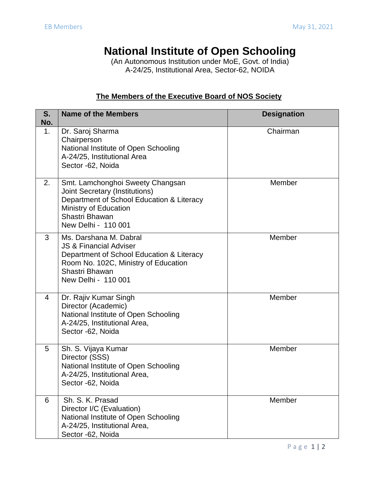## **National Institute of Open Schooling**

(An Autonomous Institution under MoE, Govt. of India) A-24/25, Institutional Area, Sector-62, NOIDA

## **The Members of the Executive Board of NOS Society**

| S.<br>No. | <b>Name of the Members</b>                                                                                                                                                                | <b>Designation</b> |
|-----------|-------------------------------------------------------------------------------------------------------------------------------------------------------------------------------------------|--------------------|
| 1.        | Dr. Saroj Sharma<br>Chairperson<br>National Institute of Open Schooling<br>A-24/25, Institutional Area<br>Sector -62, Noida                                                               | Chairman           |
| 2.        | Smt. Lamchonghoi Sweety Changsan<br><b>Joint Secretary (Institutions)</b><br>Department of School Education & Literacy<br>Ministry of Education<br>Shastri Bhawan<br>New Delhi - 110 001  | Member             |
| 3         | Ms. Darshana M. Dabral<br><b>JS &amp; Financial Adviser</b><br>Department of School Education & Literacy<br>Room No. 102C, Ministry of Education<br>Shastri Bhawan<br>New Delhi - 110 001 | Member             |
| 4         | Dr. Rajiv Kumar Singh<br>Director (Academic)<br>National Institute of Open Schooling<br>A-24/25, Institutional Area,<br>Sector -62, Noida                                                 | Member             |
| 5         | Sh. S. Vijaya Kumar<br>Director (SSS)<br>National Institute of Open Schooling<br>A-24/25, Institutional Area,<br>Sector -62, Noida                                                        | Member             |
| 6         | Sh. S. K. Prasad<br>Director I/C (Evaluation)<br>National Institute of Open Schooling<br>A-24/25, Institutional Area,<br>Sector -62, Noida                                                | Member             |